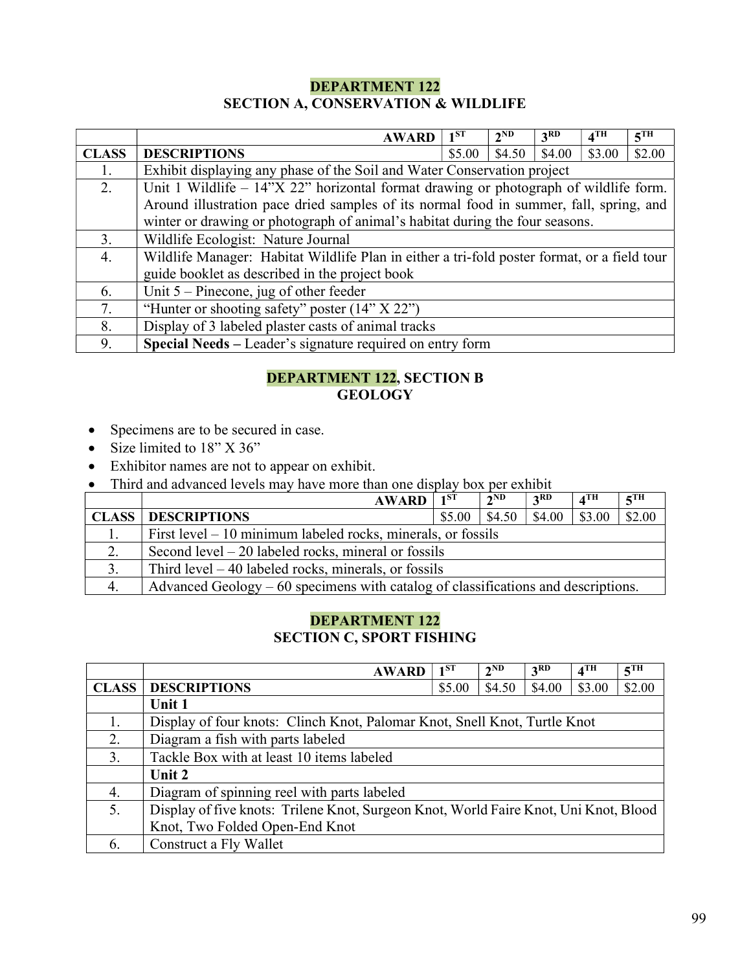## DEPARTMENT 122 SECTION A, CONSERVATION & WILDLIFE

|              | <b>AWARD</b>                                                                                | $1^{ST}$ | 2 <sup>ND</sup> | 3 <sup>RD</sup> | $4$ TH | 5TH    |
|--------------|---------------------------------------------------------------------------------------------|----------|-----------------|-----------------|--------|--------|
| <b>CLASS</b> | <b>DESCRIPTIONS</b>                                                                         | \$5.00   | \$4.50          | \$4.00          | \$3.00 | \$2.00 |
|              | Exhibit displaying any phase of the Soil and Water Conservation project                     |          |                 |                 |        |        |
| 2.           | Unit 1 Wildlife $-14$ "X 22" horizontal format drawing or photograph of wildlife form.      |          |                 |                 |        |        |
|              | Around illustration pace dried samples of its normal food in summer, fall, spring, and      |          |                 |                 |        |        |
|              | winter or drawing or photograph of animal's habitat during the four seasons.                |          |                 |                 |        |        |
| 3.           | Wildlife Ecologist: Nature Journal                                                          |          |                 |                 |        |        |
| 4.           | Wildlife Manager: Habitat Wildlife Plan in either a tri-fold poster format, or a field tour |          |                 |                 |        |        |
|              | guide booklet as described in the project book                                              |          |                 |                 |        |        |
| 6.           | Unit $5$ – Pinecone, jug of other feeder                                                    |          |                 |                 |        |        |
| 7.           | "Hunter or shooting safety" poster $(14" X 22")$                                            |          |                 |                 |        |        |
| 8.           | Display of 3 labeled plaster casts of animal tracks                                         |          |                 |                 |        |        |
| 9.           | Special Needs – Leader's signature required on entry form                                   |          |                 |                 |        |        |

## DEPARTMENT 122, SECTION B **GEOLOGY**

- Specimens are to be secured in case.
- Size limited to  $18"$  X  $36"$
- Exhibitor names are not to appear on exhibit.
- Third and advanced levels may have more than one display box per exhibit

|    | <b>AWARD</b>                                                                      | $\vert$ 1 <sup>ST</sup> | $2^{ND}$ | 3 <sup>RD</sup> | $\mathbf{A}^{\mathrm{TH}}$ | $\zeta$ TH |
|----|-----------------------------------------------------------------------------------|-------------------------|----------|-----------------|----------------------------|------------|
|    | <b>CLASS   DESCRIPTIONS</b>                                                       | \$5.00                  | \$4.50   | $\vert$ \$4.00  | $ $ \$3.00                 | \$2.00     |
|    | First level $-10$ minimum labeled rocks, minerals, or fossils                     |                         |          |                 |                            |            |
| 2. | Second level $-20$ labeled rocks, mineral or fossils                              |                         |          |                 |                            |            |
|    | Third level $-40$ labeled rocks, minerals, or fossils                             |                         |          |                 |                            |            |
| 4. | Advanced Geology – 60 specimens with catalog of classifications and descriptions. |                         |          |                 |                            |            |

## DEPARTMENT 122 SECTION C, SPORT FISHING

|              | <b>AWARD</b>                                                                         | 1 <sub>1</sub> ST | 2 <sup>ND</sup> | 3RD    | 4 <sup>TH</sup> | $5$ <sup>TH</sup> |  |
|--------------|--------------------------------------------------------------------------------------|-------------------|-----------------|--------|-----------------|-------------------|--|
| <b>CLASS</b> | <b>DESCRIPTIONS</b>                                                                  | \$5.00            | \$4.50          | \$4.00 | \$3.00          | \$2.00            |  |
|              | Unit 1                                                                               |                   |                 |        |                 |                   |  |
|              | Display of four knots: Clinch Knot, Palomar Knot, Snell Knot, Turtle Knot            |                   |                 |        |                 |                   |  |
| 2.           | Diagram a fish with parts labeled                                                    |                   |                 |        |                 |                   |  |
| 3.           | Tackle Box with at least 10 items labeled                                            |                   |                 |        |                 |                   |  |
|              | Unit 2                                                                               |                   |                 |        |                 |                   |  |
| 4.           | Diagram of spinning reel with parts labeled                                          |                   |                 |        |                 |                   |  |
| 5.           | Display of five knots: Trilene Knot, Surgeon Knot, World Faire Knot, Uni Knot, Blood |                   |                 |        |                 |                   |  |
|              | Knot, Two Folded Open-End Knot                                                       |                   |                 |        |                 |                   |  |
| 6.           | Construct a Fly Wallet                                                               |                   |                 |        |                 |                   |  |